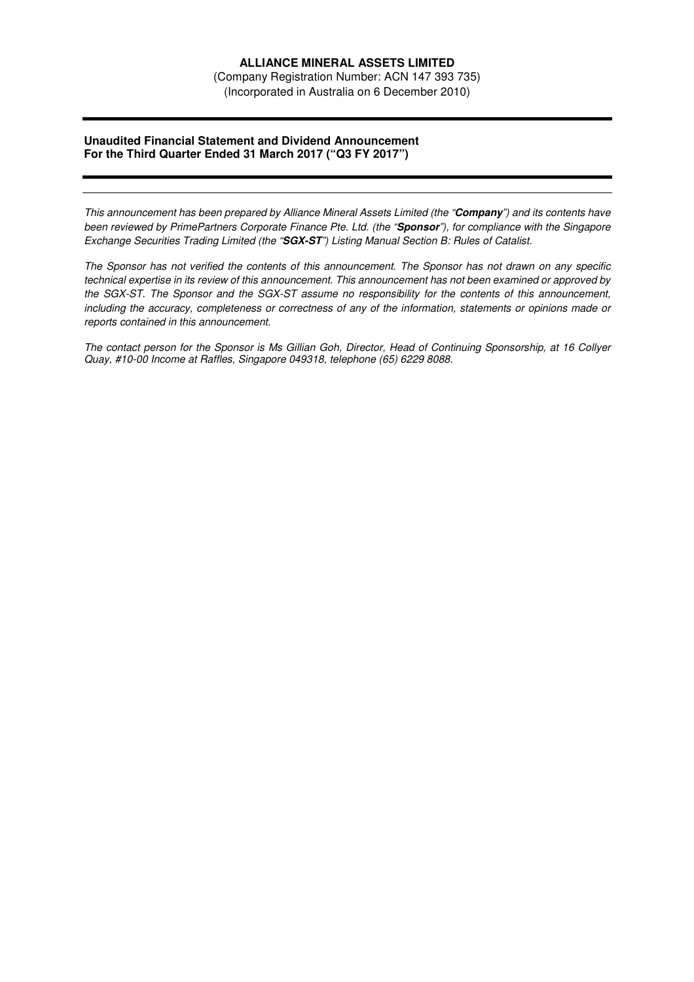# **ALLIANCE MINERAL ASSETS LIMITED**

(Company Registration Number: ACN 147 393 735) (Incorporated in Australia on 6 December 2010)

### **Unaudited Financial Statement and Dividend Announcement For the Third Quarter Ended 31 March 2017 ("Q3 FY 2017")**

*This announcement has been prepared by Alliance Mineral Assets Limited (the "***Company***") and its contents have been reviewed by PrimePartners Corporate Finance Pte. Ltd. (the "***Sponsor***"), for compliance with the Singapore Exchange Securities Trading Limited (the "***SGX-ST***") Listing Manual Section B: Rules of Catalist.* 

*The Sponsor has not verified the contents of this announcement. The Sponsor has not drawn on any specific technical expertise in its review of this announcement. This announcement has not been examined or approved by the SGX-ST. The Sponsor and the SGX-ST assume no responsibility for the contents of this announcement, including the accuracy, completeness or correctness of any of the information, statements or opinions made or reports contained in this announcement.* 

*The contact person for the Sponsor is Ms Gillian Goh, Director, Head of Continuing Sponsorship, at 16 Collyer Quay, #10-00 Income at Raffles, Singapore 049318, telephone (65) 6229 8088.*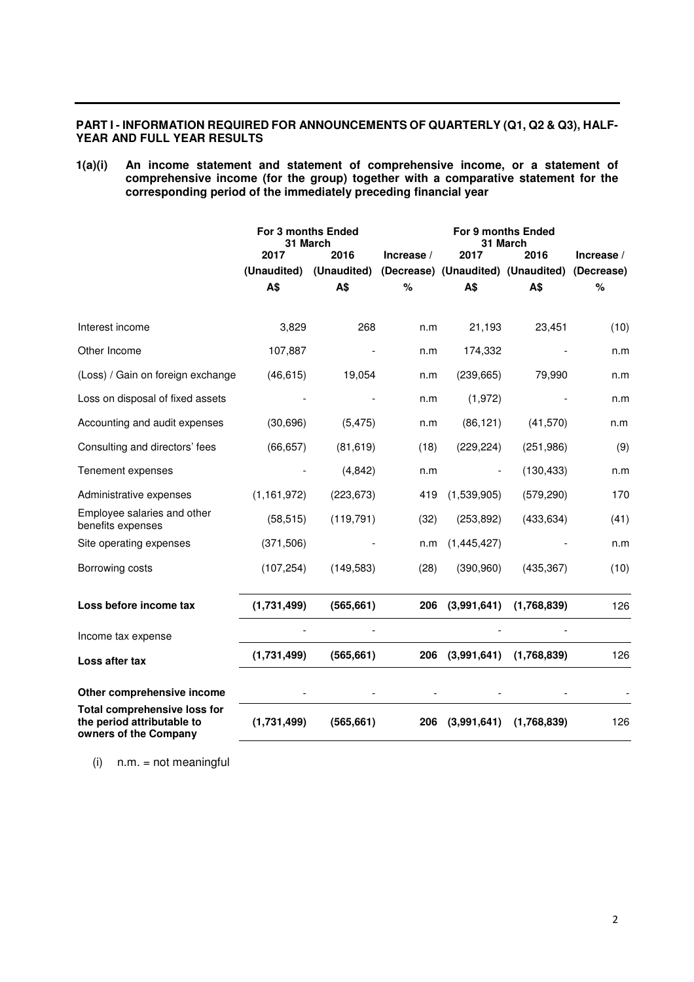# **PART I - INFORMATION REQUIRED FOR ANNOUNCEMENTS OF QUARTERLY (Q1, Q2 & Q3), HALF-YEAR AND FULL YEAR RESULTS**

### **1(a)(i) An income statement and statement of comprehensive income, or a statement of comprehensive income (for the group) together with a comparative statement for the corresponding period of the immediately preceding financial year**

|                                                                                            | For 3 months Ended<br>31 March |             |            | For 9 months Ended<br>31 March |                                               |            |
|--------------------------------------------------------------------------------------------|--------------------------------|-------------|------------|--------------------------------|-----------------------------------------------|------------|
|                                                                                            | 2017                           | 2016        | Increase / | 2017                           | 2016                                          | Increase / |
|                                                                                            | (Unaudited)                    | (Unaudited) |            |                                | (Decrease) (Unaudited) (Unaudited) (Decrease) |            |
|                                                                                            | A\$                            | A\$         | %          | A\$                            | A\$                                           | %          |
| Interest income                                                                            | 3,829                          | 268         | n.m        | 21,193                         | 23,451                                        | (10)       |
| Other Income                                                                               | 107,887                        |             | n.m        | 174,332                        |                                               | n.m        |
| (Loss) / Gain on foreign exchange                                                          | (46, 615)                      | 19,054      | n.m        | (239, 665)                     | 79,990                                        | n.m        |
| Loss on disposal of fixed assets                                                           |                                |             | n.m        | (1,972)                        |                                               | n.m        |
| Accounting and audit expenses                                                              | (30, 696)                      | (5, 475)    | n.m        | (86, 121)                      | (41, 570)                                     | n.m        |
| Consulting and directors' fees                                                             | (66, 657)                      | (81, 619)   | (18)       | (229, 224)                     | (251, 986)                                    | (9)        |
| Tenement expenses                                                                          |                                | (4, 842)    | n.m        |                                | (130, 433)                                    | n.m        |
| Administrative expenses                                                                    | (1, 161, 972)                  | (223, 673)  | 419        | (1,539,905)                    | (579, 290)                                    | 170        |
| Employee salaries and other<br>benefits expenses                                           | (58, 515)                      | (119, 791)  | (32)       | (253, 892)                     | (433, 634)                                    | (41)       |
| Site operating expenses                                                                    | (371,506)                      |             | n.m        | (1,445,427)                    |                                               | n.m        |
| Borrowing costs                                                                            | (107, 254)                     | (149, 583)  | (28)       | (390, 960)                     | (435, 367)                                    | (10)       |
| Loss before income tax                                                                     | (1,731,499)                    | (565, 661)  | 206        | (3,991,641)                    | (1,768,839)                                   | 126        |
| Income tax expense                                                                         |                                |             |            |                                |                                               |            |
| Loss after tax                                                                             | (1,731,499)                    | (565, 661)  | 206        | (3,991,641)                    | (1,768,839)                                   | 126        |
| Other comprehensive income                                                                 |                                |             |            |                                |                                               |            |
| <b>Total comprehensive loss for</b><br>the period attributable to<br>owners of the Company | (1,731,499)                    | (565, 661)  | 206        | (3,991,641)                    | (1,768,839)                                   | 126        |

 $(i)$  n.m. = not meaningful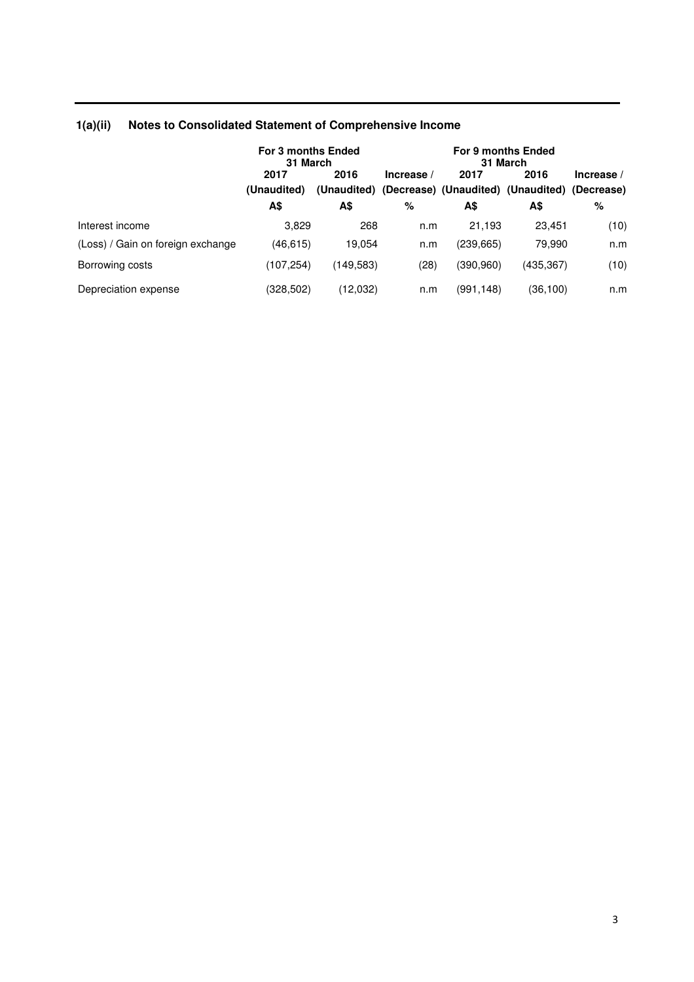|                                   | For 3 months Ended<br>31 March |            |            | For 9 months Ended<br>31 March |                                                                   |              |  |
|-----------------------------------|--------------------------------|------------|------------|--------------------------------|-------------------------------------------------------------------|--------------|--|
|                                   | 2017<br>(Unaudited)            | 2016       | Increase / | 2017                           | 2016<br>(Unaudited) (Decrease) (Unaudited) (Unaudited) (Decrease) | Increase $/$ |  |
|                                   | A\$                            | А\$        | %          | A\$                            | A\$                                                               | %            |  |
| Interest income                   | 3.829                          | 268        | n.m        | 21.193                         | 23.451                                                            | (10)         |  |
| (Loss) / Gain on foreign exchange | (46, 615)                      | 19.054     | n.m        | (239, 665)                     | 79.990                                                            | n.m          |  |
| Borrowing costs                   | (107,254)                      | (149, 583) | (28)       | (390, 960)                     | (435, 367)                                                        | (10)         |  |
| Depreciation expense              | (328,502)                      | (12,032)   | n.m        | (991,148)                      | (36,100)                                                          | n.m          |  |

# **1(a)(ii) Notes to Consolidated Statement of Comprehensive Income**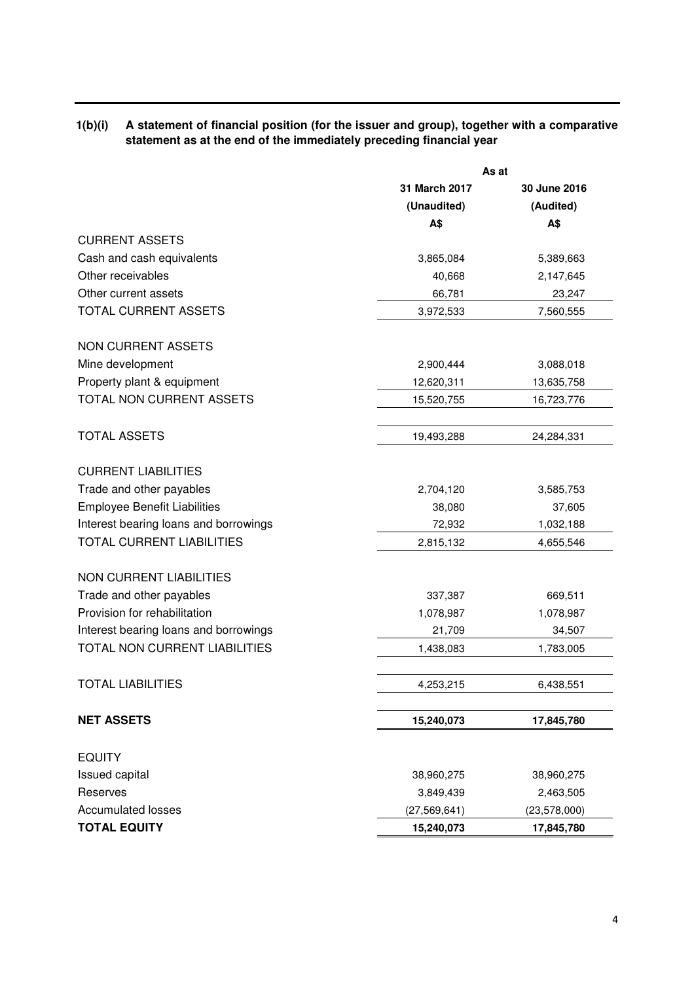# **1(b)(i) A statement of financial position (for the issuer and group), together with a comparative statement as at the end of the immediately preceding financial year**

|                                       | As at          |                |  |
|---------------------------------------|----------------|----------------|--|
|                                       | 31 March 2017  | 30 June 2016   |  |
|                                       | (Unaudited)    | (Audited)      |  |
|                                       | A\$            | A\$            |  |
| <b>CURRENT ASSETS</b>                 |                |                |  |
| Cash and cash equivalents             | 3,865,084      | 5,389,663      |  |
| Other receivables                     | 40,668         | 2,147,645      |  |
| Other current assets                  | 66,781         | 23,247         |  |
| TOTAL CURRENT ASSETS                  | 3,972,533      | 7,560,555      |  |
| <b>NON CURRENT ASSETS</b>             |                |                |  |
| Mine development                      | 2,900,444      | 3,088,018      |  |
| Property plant & equipment            | 12,620,311     | 13,635,758     |  |
| TOTAL NON CURRENT ASSETS              | 15,520,755     | 16,723,776     |  |
| <b>TOTAL ASSETS</b>                   | 19,493,288     | 24,284,331     |  |
| <b>CURRENT LIABILITIES</b>            |                |                |  |
| Trade and other payables              | 2,704,120      | 3,585,753      |  |
| <b>Employee Benefit Liabilities</b>   | 38,080         | 37,605         |  |
| Interest bearing loans and borrowings | 72,932         | 1,032,188      |  |
| <b>TOTAL CURRENT LIABILITIES</b>      | 2,815,132      | 4,655,546      |  |
| <b>NON CURRENT LIABILITIES</b>        |                |                |  |
| Trade and other payables              | 337,387        | 669,511        |  |
| Provision for rehabilitation          | 1,078,987      | 1,078,987      |  |
| Interest bearing loans and borrowings | 21,709         | 34,507         |  |
| TOTAL NON CURRENT LIABILITIES         | 1,438,083      | 1,783,005      |  |
| <b>TOTAL LIABILITIES</b>              | 4,253,215      | 6,438,551      |  |
| <b>NET ASSETS</b>                     | 15,240,073     | 17,845,780     |  |
| <b>EQUITY</b>                         |                |                |  |
| Issued capital                        | 38,960,275     | 38,960,275     |  |
| Reserves                              | 3,849,439      | 2,463,505      |  |
| <b>Accumulated losses</b>             | (27, 569, 641) | (23, 578, 000) |  |
| <b>TOTAL EQUITY</b>                   | 15,240,073     | 17,845,780     |  |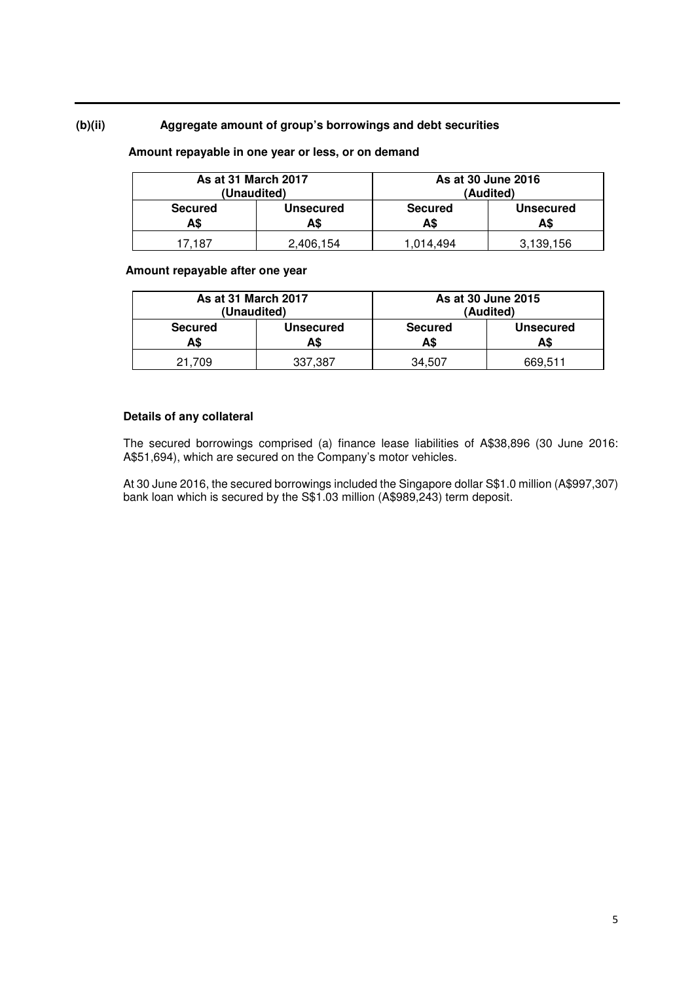# **(b)(ii) Aggregate amount of group's borrowings and debt securities**

### **Amount repayable in one year or less, or on demand**

| As at 31 March 2017<br>(Unaudited) |                         | As at 30 June 2016<br>(Audited) |                         |  |
|------------------------------------|-------------------------|---------------------------------|-------------------------|--|
| <b>Secured</b><br>A\$              | <b>Unsecured</b><br>A\$ | <b>Secured</b><br>A\$           | <b>Unsecured</b><br>A\$ |  |
| 17.187                             | 2,406,154               | 1.014.494                       | 3.139.156               |  |

# **Amount repayable after one year**

| As at 31 March 2017<br>(Unaudited) |                         |                       | As at 30 June 2015<br>(Audited) |
|------------------------------------|-------------------------|-----------------------|---------------------------------|
| <b>Secured</b><br>A\$              | <b>Unsecured</b><br>A\$ | <b>Secured</b><br>A\$ | <b>Unsecured</b><br>A\$         |
| 21.709                             | 337,387                 | 34.507                | 669.511                         |

# **Details of any collateral**

The secured borrowings comprised (a) finance lease liabilities of A\$38,896 (30 June 2016: A\$51,694), which are secured on the Company's motor vehicles.

At 30 June 2016, the secured borrowings included the Singapore dollar S\$1.0 million (A\$997,307) bank loan which is secured by the S\$1.03 million (A\$989,243) term deposit.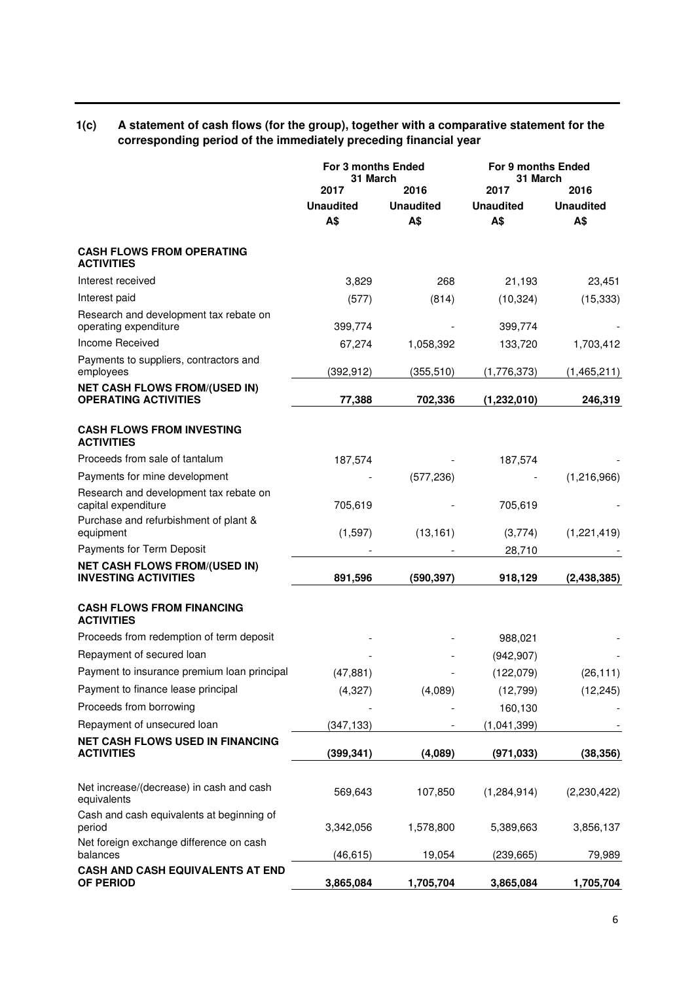# **1(c) A statement of cash flows (for the group), together with a comparative statement for the corresponding period of the immediately preceding financial year**

|                                                                     | <b>For 3 months Ended</b><br>31 March |                                 | For 9 months Ended<br>31 March  |                                 |
|---------------------------------------------------------------------|---------------------------------------|---------------------------------|---------------------------------|---------------------------------|
|                                                                     | 2017<br><b>Unaudited</b><br>A\$       | 2016<br><b>Unaudited</b><br>A\$ | 2017<br><b>Unaudited</b><br>A\$ | 2016<br><b>Unaudited</b><br>A\$ |
| <b>CASH FLOWS FROM OPERATING</b><br><b>ACTIVITIES</b>               |                                       |                                 |                                 |                                 |
| Interest received                                                   | 3,829                                 | 268                             | 21,193                          | 23,451                          |
| Interest paid                                                       | (577)                                 | (814)                           | (10, 324)                       | (15, 333)                       |
| Research and development tax rebate on<br>operating expenditure     | 399,774                               |                                 | 399,774                         |                                 |
| Income Received                                                     | 67,274                                | 1,058,392                       | 133,720                         | 1,703,412                       |
| Payments to suppliers, contractors and<br>employees                 | (392, 912)                            | (355, 510)                      | (1,776,373)                     | (1,465,211)                     |
| <b>NET CASH FLOWS FROM/(USED IN)</b><br><b>OPERATING ACTIVITIES</b> | 77,388                                | 702,336                         | (1, 232, 010)                   | 246,319                         |
| <b>CASH FLOWS FROM INVESTING</b><br><b>ACTIVITIES</b>               |                                       |                                 |                                 |                                 |
| Proceeds from sale of tantalum                                      | 187,574                               |                                 | 187,574                         |                                 |
| Payments for mine development                                       |                                       | (577, 236)                      |                                 | (1,216,966)                     |
| Research and development tax rebate on<br>capital expenditure       | 705,619                               |                                 | 705,619                         |                                 |
| Purchase and refurbishment of plant &<br>equipment                  | (1,597)                               | (13, 161)                       | (3,774)                         | (1,221,419)                     |
| Payments for Term Deposit                                           |                                       |                                 | 28,710                          |                                 |
| <b>NET CASH FLOWS FROM/(USED IN)</b><br><b>INVESTING ACTIVITIES</b> | 891,596                               | (590, 397)                      | 918,129                         | (2,438,385)                     |
| <b>CASH FLOWS FROM FINANCING</b><br><b>ACTIVITIES</b>               |                                       |                                 |                                 |                                 |
| Proceeds from redemption of term deposit                            |                                       |                                 | 988,021                         |                                 |
| Repayment of secured loan                                           |                                       |                                 | (942, 907)                      |                                 |
| Payment to insurance premium loan principal                         | (47, 881)                             |                                 | (122,079)                       | (26, 111)                       |
| Payment to finance lease principal                                  | (4, 327)                              | (4,089)                         | (12, 799)                       | (12, 245)                       |
| Proceeds from borrowing                                             |                                       |                                 | 160,130                         |                                 |
| Repayment of unsecured loan                                         | (347, 133)                            |                                 | (1,041,399)                     |                                 |
| <b>NET CASH FLOWS USED IN FINANCING</b><br><b>ACTIVITIES</b>        | (399, 341)                            | (4,089)                         | (971, 033)                      | (38, 356)                       |
| Net increase/(decrease) in cash and cash<br>equivalents             | 569,643                               | 107,850                         | (1, 284, 914)                   | (2,230,422)                     |
| Cash and cash equivalents at beginning of<br>period                 | 3,342,056                             | 1,578,800                       | 5,389,663                       | 3,856,137                       |
| Net foreign exchange difference on cash<br>balances                 | (46, 615)                             | 19,054                          | (239, 665)                      | 79,989                          |
| CASH AND CASH EQUIVALENTS AT END<br>OF PERIOD                       | 3,865,084                             | 1,705,704                       | 3,865,084                       | 1,705,704                       |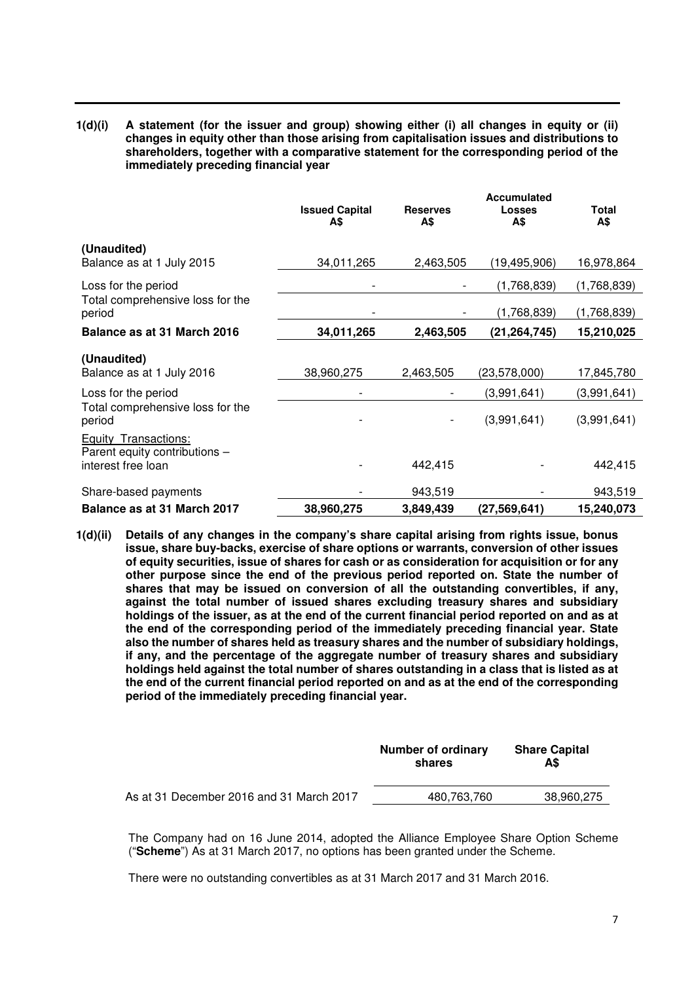**1(d)(i) A statement (for the issuer and group) showing either (i) all changes in equity or (ii) changes in equity other than those arising from capitalisation issues and distributions to shareholders, together with a comparative statement for the corresponding period of the immediately preceding financial year** 

|                                                                             | <b>Issued Capital</b><br>A\$ | <b>Reserves</b><br>A\$ | <b>Accumulated</b><br>Losses<br>A\$ | Total<br>A\$ |
|-----------------------------------------------------------------------------|------------------------------|------------------------|-------------------------------------|--------------|
| (Unaudited)<br>Balance as at 1 July 2015                                    | 34,011,265                   | 2,463,505              | (19, 495, 906)                      | 16,978,864   |
| Loss for the period                                                         |                              |                        | (1,768,839)                         | (1,768,839)  |
| Total comprehensive loss for the<br>period                                  |                              |                        | (1,768,839)                         | (1,768,839)  |
| Balance as at 31 March 2016                                                 | 34,011,265                   | 2,463,505              | (21, 264, 745)                      | 15,210,025   |
| (Unaudited)<br>Balance as at 1 July 2016                                    | 38,960,275                   | 2,463,505              | (23,578,000)                        | 17,845,780   |
| Loss for the period                                                         |                              |                        | (3,991,641)                         | (3,991,641)  |
| Total comprehensive loss for the<br>period                                  |                              |                        | (3,991,641)                         | (3,991,641)  |
| Equity Transactions:<br>Parent equity contributions -<br>interest free loan |                              | 442,415                |                                     | 442,415      |
| Share-based payments                                                        |                              | 943,519                |                                     | 943,519      |
| Balance as at 31 March 2017                                                 | 38,960,275                   | 3,849,439              | (27,569,641)                        | 15,240,073   |

**1(d)(ii) Details of any changes in the company's share capital arising from rights issue, bonus issue, share buy-backs, exercise of share options or warrants, conversion of other issues of equity securities, issue of shares for cash or as consideration for acquisition or for any other purpose since the end of the previous period reported on. State the number of shares that may be issued on conversion of all the outstanding convertibles, if any, against the total number of issued shares excluding treasury shares and subsidiary holdings of the issuer, as at the end of the current financial period reported on and as at the end of the corresponding period of the immediately preceding financial year. State also the number of shares held as treasury shares and the number of subsidiary holdings, if any, and the percentage of the aggregate number of treasury shares and subsidiary holdings held against the total number of shares outstanding in a class that is listed as at the end of the current financial period reported on and as at the end of the corresponding period of the immediately preceding financial year.**

|                                          | Number of ordinary<br>shares | <b>Share Capital</b><br>A\$ |
|------------------------------------------|------------------------------|-----------------------------|
| As at 31 December 2016 and 31 March 2017 | 480.763.760                  | 38.960.275                  |

The Company had on 16 June 2014, adopted the Alliance Employee Share Option Scheme ("**Scheme**") As at 31 March 2017, no options has been granted under the Scheme.

There were no outstanding convertibles as at 31 March 2017 and 31 March 2016.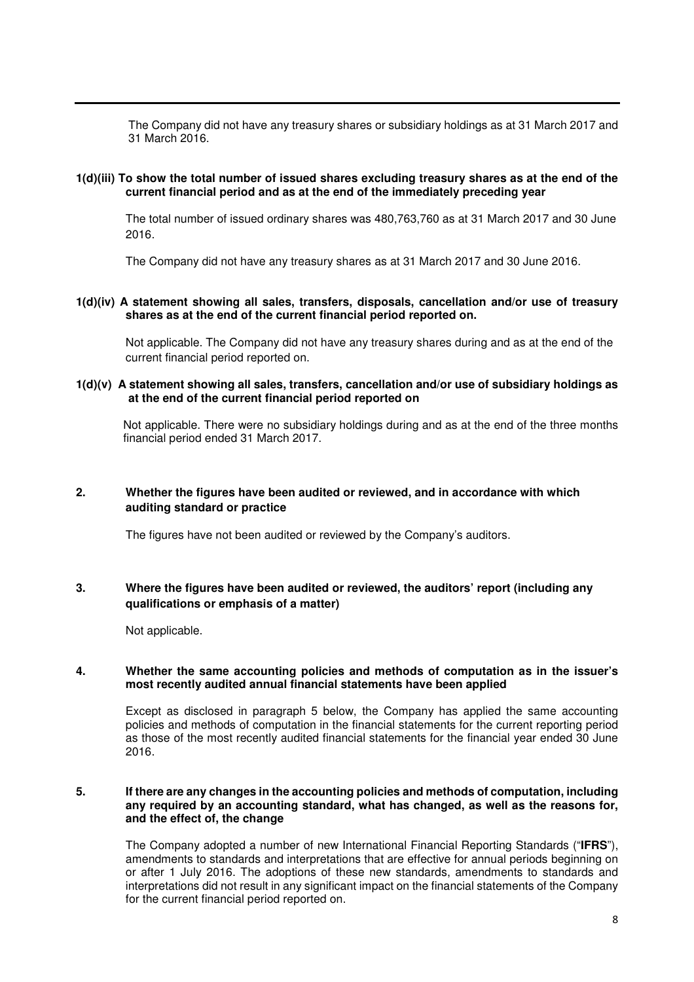The Company did not have any treasury shares or subsidiary holdings as at 31 March 2017 and 31 March 2016.

### **1(d)(iii) To show the total number of issued shares excluding treasury shares as at the end of the current financial period and as at the end of the immediately preceding year**

The total number of issued ordinary shares was 480,763,760 as at 31 March 2017 and 30 June 2016.

The Company did not have any treasury shares as at 31 March 2017 and 30 June 2016.

### **1(d)(iv) A statement showing all sales, transfers, disposals, cancellation and/or use of treasury shares as at the end of the current financial period reported on.**

Not applicable. The Company did not have any treasury shares during and as at the end of the current financial period reported on.

### **1(d)(v) A statement showing all sales, transfers, cancellation and/or use of subsidiary holdings as at the end of the current financial period reported on**

Not applicable. There were no subsidiary holdings during and as at the end of the three months financial period ended 31 March 2017.

# **2. Whether the figures have been audited or reviewed, and in accordance with which auditing standard or practice**

The figures have not been audited or reviewed by the Company's auditors.

# **3. Where the figures have been audited or reviewed, the auditors' report (including any qualifications or emphasis of a matter)**

Not applicable.

#### **4. Whether the same accounting policies and methods of computation as in the issuer's most recently audited annual financial statements have been applied**

Except as disclosed in paragraph 5 below, the Company has applied the same accounting policies and methods of computation in the financial statements for the current reporting period as those of the most recently audited financial statements for the financial year ended 30 June 2016.

### **5. If there are any changes in the accounting policies and methods of computation, including any required by an accounting standard, what has changed, as well as the reasons for, and the effect of, the change**

The Company adopted a number of new International Financial Reporting Standards ("**IFRS**"), amendments to standards and interpretations that are effective for annual periods beginning on or after 1 July 2016. The adoptions of these new standards, amendments to standards and interpretations did not result in any significant impact on the financial statements of the Company for the current financial period reported on.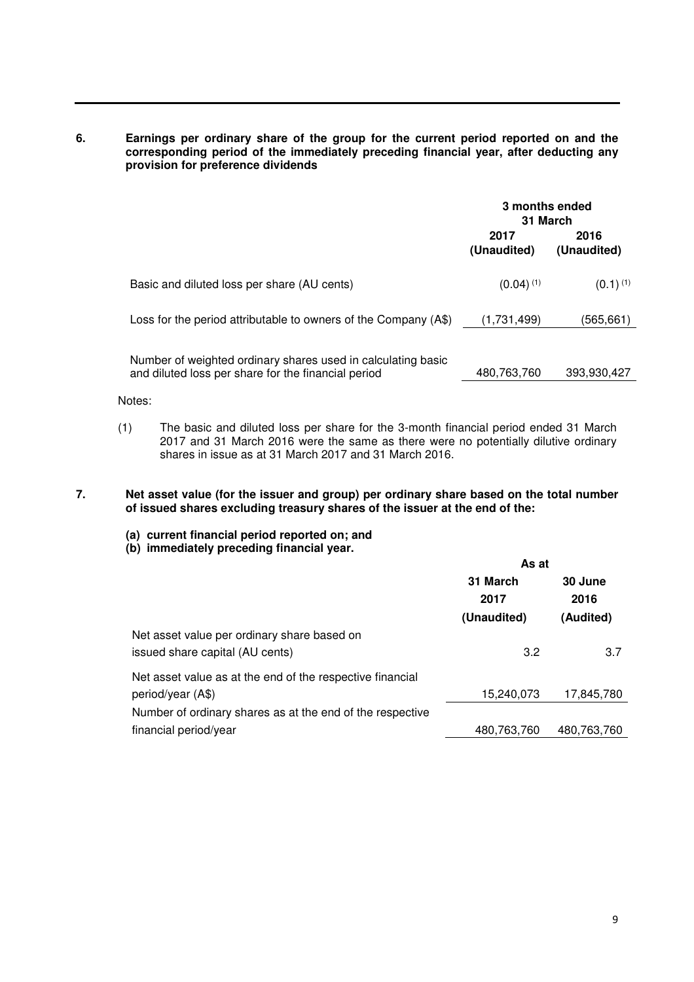**6. Earnings per ordinary share of the group for the current period reported on and the corresponding period of the immediately preceding financial year, after deducting any provision for preference dividends** 

|                                                                                                                     | 3 months ended<br>31 March |                     |
|---------------------------------------------------------------------------------------------------------------------|----------------------------|---------------------|
|                                                                                                                     | 2017<br>(Unaudited)        | 2016<br>(Unaudited) |
| Basic and diluted loss per share (AU cents)                                                                         | $(0.04)$ <sup>(1)</sup>    | $(0.1)^{(1)}$       |
| Loss for the period attributable to owners of the Company (A\$)                                                     | (1,731,499)                | (565,661)           |
| Number of weighted ordinary shares used in calculating basic<br>and diluted loss per share for the financial period | 480,763,760                | 393,930,427         |

Notes:

(1) The basic and diluted loss per share for the 3-month financial period ended 31 March 2017 and 31 March 2016 were the same as there were no potentially dilutive ordinary shares in issue as at 31 March 2017 and 31 March 2016.

### **7. Net asset value (for the issuer and group) per ordinary share based on the total number of issued shares excluding treasury shares of the issuer at the end of the:**

- **(a) current financial period reported on; and**
- **(b) immediately preceding financial year.**

|                                                           | As at       |             |  |
|-----------------------------------------------------------|-------------|-------------|--|
|                                                           | 31 March    | 30 June     |  |
|                                                           | 2017        | 2016        |  |
|                                                           | (Unaudited) | (Audited)   |  |
| Net asset value per ordinary share based on               |             |             |  |
| issued share capital (AU cents)                           | 3.2         | 3.7         |  |
| Net asset value as at the end of the respective financial |             |             |  |
| period/year (A\$)                                         | 15,240,073  | 17,845,780  |  |
| Number of ordinary shares as at the end of the respective |             |             |  |
| financial period/year                                     | 480,763,760 | 480,763,760 |  |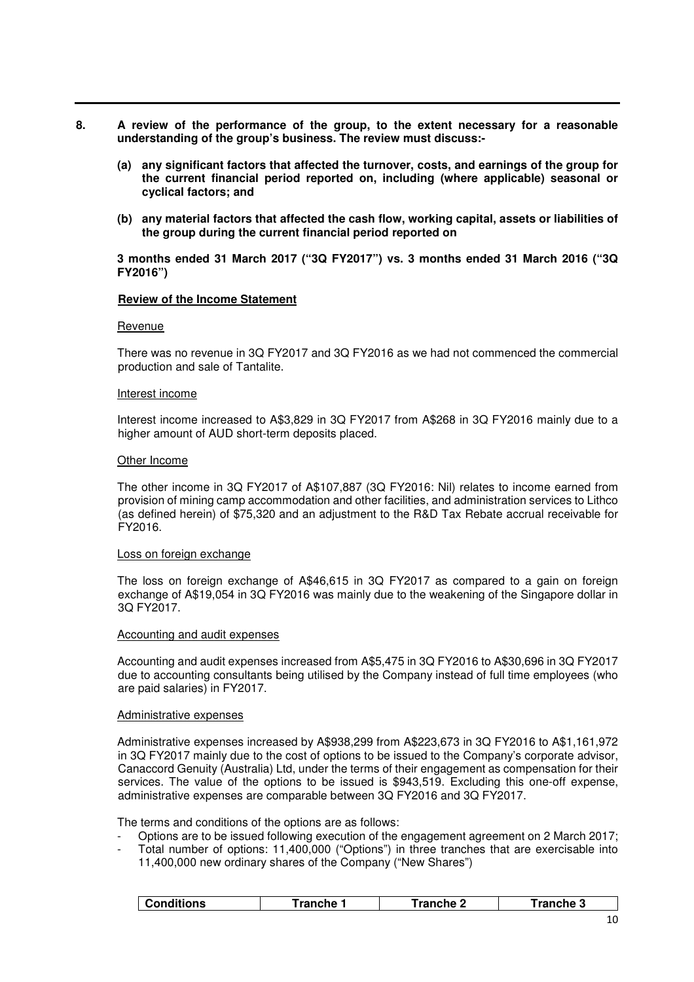- **8. A review of the performance of the group, to the extent necessary for a reasonable understanding of the group's business. The review must discuss:-** 
	- **(a) any significant factors that affected the turnover, costs, and earnings of the group for the current financial period reported on, including (where applicable) seasonal or cyclical factors; and**
	- **(b) any material factors that affected the cash flow, working capital, assets or liabilities of the group during the current financial period reported on**

### **3 months ended 31 March 2017 ("3Q FY2017") vs. 3 months ended 31 March 2016 ("3Q FY2016")**

#### **Review of the Income Statement**

#### Revenue

There was no revenue in 3Q FY2017 and 3Q FY2016 as we had not commenced the commercial production and sale of Tantalite.

#### Interest income

Interest income increased to A\$3,829 in 3Q FY2017 from A\$268 in 3Q FY2016 mainly due to a higher amount of AUD short-term deposits placed.

#### Other Income

The other income in 3Q FY2017 of A\$107,887 (3Q FY2016: Nil) relates to income earned from provision of mining camp accommodation and other facilities, and administration services to Lithco (as defined herein) of \$75,320 and an adjustment to the R&D Tax Rebate accrual receivable for FY2016.

#### Loss on foreign exchange

The loss on foreign exchange of A\$46,615 in 3Q FY2017 as compared to a gain on foreign exchange of A\$19,054 in 3Q FY2016 was mainly due to the weakening of the Singapore dollar in 3Q FY2017.

#### Accounting and audit expenses

Accounting and audit expenses increased from A\$5,475 in 3Q FY2016 to A\$30,696 in 3Q FY2017 due to accounting consultants being utilised by the Company instead of full time employees (who are paid salaries) in FY2017.

#### Administrative expenses

Administrative expenses increased by A\$938,299 from A\$223,673 in 3Q FY2016 to A\$1,161,972 in 3Q FY2017 mainly due to the cost of options to be issued to the Company's corporate advisor, Canaccord Genuity (Australia) Ltd, under the terms of their engagement as compensation for their services. The value of the options to be issued is \$943,519. Excluding this one-off expense, administrative expenses are comparable between 3Q FY2016 and 3Q FY2017.

The terms and conditions of the options are as follows:

- Options are to be issued following execution of the engagement agreement on 2 March 2017;
- Total number of options: 11,400,000 ("Options") in three tranches that are exercisable into 11,400,000 new ordinary shares of the Company ("New Shares")

| <b>Conditions</b> | ⊺ranche 1 | <sup>-</sup> ranche 2 | <b>⊺ranche 3</b> |
|-------------------|-----------|-----------------------|------------------|
|                   |           |                       |                  |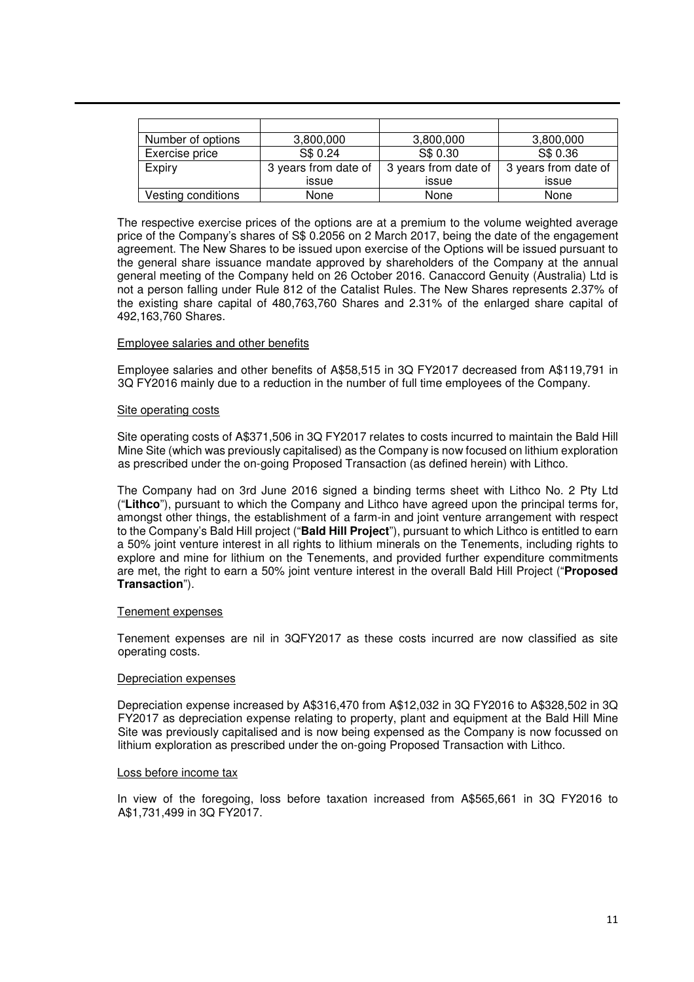| Number of options  | 3,800,000            | 3,800,000            | 3,800,000            |
|--------------------|----------------------|----------------------|----------------------|
| Exercise price     | S\$ 0.24             | S\$ 0.30             | S\$ 0.36             |
| Expiry             | 3 years from date of | 3 years from date of | 3 years from date of |
|                    | issue                | issue                | issue                |
| Vesting conditions | None                 | None                 | None                 |

The respective exercise prices of the options are at a premium to the volume weighted average price of the Company's shares of S\$ 0.2056 on 2 March 2017, being the date of the engagement agreement. The New Shares to be issued upon exercise of the Options will be issued pursuant to the general share issuance mandate approved by shareholders of the Company at the annual general meeting of the Company held on 26 October 2016. Canaccord Genuity (Australia) Ltd is not a person falling under Rule 812 of the Catalist Rules. The New Shares represents 2.37% of the existing share capital of 480,763,760 Shares and 2.31% of the enlarged share capital of 492,163,760 Shares.

### Employee salaries and other benefits

Employee salaries and other benefits of A\$58,515 in 3Q FY2017 decreased from A\$119,791 in 3Q FY2016 mainly due to a reduction in the number of full time employees of the Company.

#### Site operating costs

Site operating costs of A\$371,506 in 3Q FY2017 relates to costs incurred to maintain the Bald Hill Mine Site (which was previously capitalised) as the Company is now focused on lithium exploration as prescribed under the on-going Proposed Transaction (as defined herein) with Lithco.

The Company had on 3rd June 2016 signed a binding terms sheet with Lithco No. 2 Pty Ltd ("**Lithco**"), pursuant to which the Company and Lithco have agreed upon the principal terms for, amongst other things, the establishment of a farm-in and joint venture arrangement with respect to the Company's Bald Hill project ("**Bald Hill Project**"), pursuant to which Lithco is entitled to earn a 50% joint venture interest in all rights to lithium minerals on the Tenements, including rights to explore and mine for lithium on the Tenements, and provided further expenditure commitments are met, the right to earn a 50% joint venture interest in the overall Bald Hill Project ("**Proposed Transaction**").

### Tenement expenses

Tenement expenses are nil in 3QFY2017 as these costs incurred are now classified as site operating costs.

### Depreciation expenses

Depreciation expense increased by A\$316,470 from A\$12,032 in 3Q FY2016 to A\$328,502 in 3Q FY2017 as depreciation expense relating to property, plant and equipment at the Bald Hill Mine Site was previously capitalised and is now being expensed as the Company is now focussed on lithium exploration as prescribed under the on-going Proposed Transaction with Lithco.

#### Loss before income tax

In view of the foregoing, loss before taxation increased from A\$565,661 in 3Q FY2016 to A\$1,731,499 in 3Q FY2017.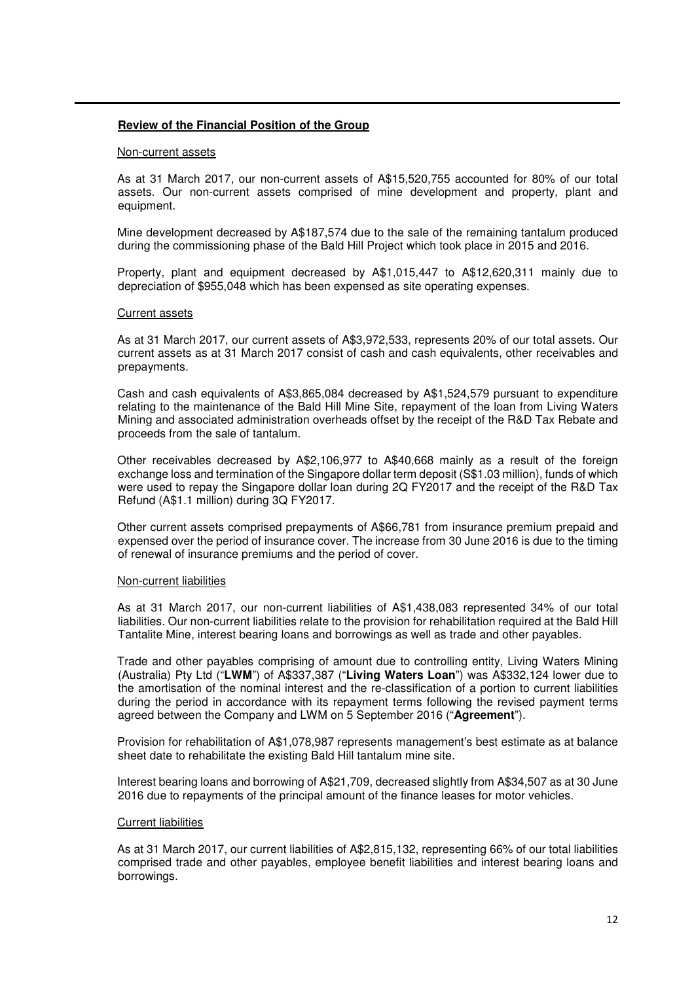### **Review of the Financial Position of the Group**

#### Non-current assets

As at 31 March 2017, our non-current assets of A\$15,520,755 accounted for 80% of our total assets. Our non-current assets comprised of mine development and property, plant and equipment.

Mine development decreased by A\$187,574 due to the sale of the remaining tantalum produced during the commissioning phase of the Bald Hill Project which took place in 2015 and 2016.

Property, plant and equipment decreased by A\$1,015,447 to A\$12,620,311 mainly due to depreciation of \$955,048 which has been expensed as site operating expenses.

#### Current assets

As at 31 March 2017, our current assets of A\$3,972,533, represents 20% of our total assets. Our current assets as at 31 March 2017 consist of cash and cash equivalents, other receivables and prepayments.

Cash and cash equivalents of A\$3,865,084 decreased by A\$1,524,579 pursuant to expenditure relating to the maintenance of the Bald Hill Mine Site, repayment of the loan from Living Waters Mining and associated administration overheads offset by the receipt of the R&D Tax Rebate and proceeds from the sale of tantalum.

Other receivables decreased by A\$2,106,977 to A\$40,668 mainly as a result of the foreign exchange loss and termination of the Singapore dollar term deposit (S\$1.03 million), funds of which were used to repay the Singapore dollar loan during 2Q FY2017 and the receipt of the R&D Tax Refund (A\$1.1 million) during 3Q FY2017.

Other current assets comprised prepayments of A\$66,781 from insurance premium prepaid and expensed over the period of insurance cover. The increase from 30 June 2016 is due to the timing of renewal of insurance premiums and the period of cover.

### Non-current liabilities

As at 31 March 2017, our non-current liabilities of A\$1,438,083 represented 34% of our total liabilities. Our non-current liabilities relate to the provision for rehabilitation required at the Bald Hill Tantalite Mine, interest bearing loans and borrowings as well as trade and other payables.

Trade and other payables comprising of amount due to controlling entity, Living Waters Mining (Australia) Pty Ltd ("**LWM**") of A\$337,387 ("**Living Waters Loan**") was A\$332,124 lower due to the amortisation of the nominal interest and the re-classification of a portion to current liabilities during the period in accordance with its repayment terms following the revised payment terms agreed between the Company and LWM on 5 September 2016 ("**Agreement**").

Provision for rehabilitation of A\$1,078,987 represents management's best estimate as at balance sheet date to rehabilitate the existing Bald Hill tantalum mine site.

Interest bearing loans and borrowing of A\$21,709, decreased slightly from A\$34,507 as at 30 June 2016 due to repayments of the principal amount of the finance leases for motor vehicles.

### Current liabilities

As at 31 March 2017, our current liabilities of A\$2,815,132, representing 66% of our total liabilities comprised trade and other payables, employee benefit liabilities and interest bearing loans and borrowings.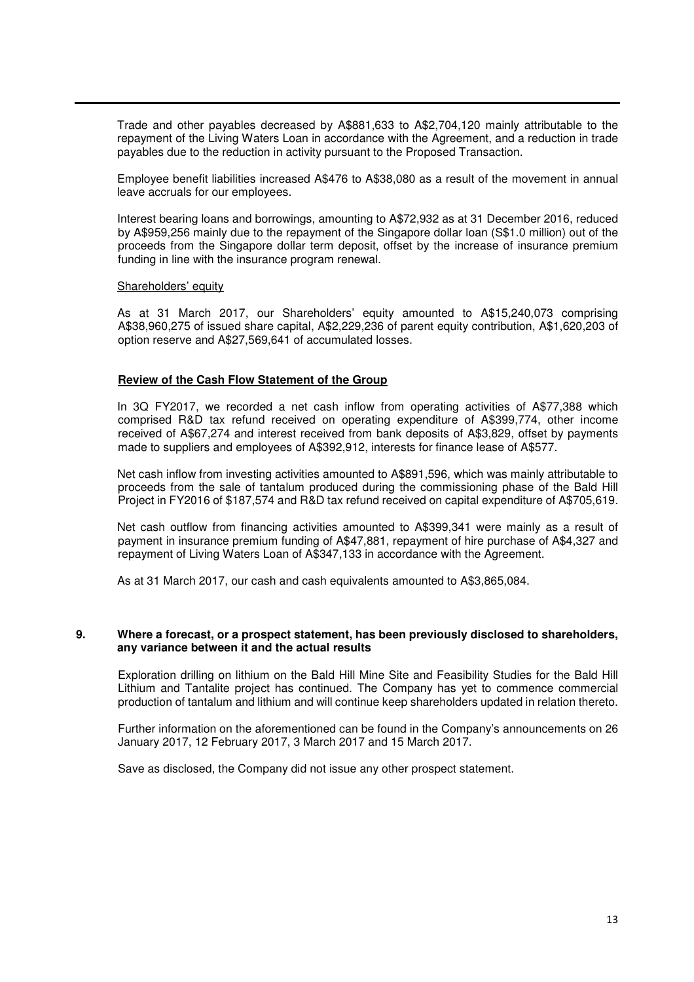Trade and other payables decreased by A\$881,633 to A\$2,704,120 mainly attributable to the repayment of the Living Waters Loan in accordance with the Agreement, and a reduction in trade payables due to the reduction in activity pursuant to the Proposed Transaction.

Employee benefit liabilities increased A\$476 to A\$38,080 as a result of the movement in annual leave accruals for our employees.

Interest bearing loans and borrowings, amounting to A\$72,932 as at 31 December 2016, reduced by A\$959,256 mainly due to the repayment of the Singapore dollar loan (S\$1.0 million) out of the proceeds from the Singapore dollar term deposit, offset by the increase of insurance premium funding in line with the insurance program renewal.

#### Shareholders' equity

As at 31 March 2017, our Shareholders' equity amounted to A\$15,240,073 comprising A\$38,960,275 of issued share capital, A\$2,229,236 of parent equity contribution, A\$1,620,203 of option reserve and A\$27,569,641 of accumulated losses.

### **Review of the Cash Flow Statement of the Group**

In 3Q FY2017, we recorded a net cash inflow from operating activities of A\$77,388 which comprised R&D tax refund received on operating expenditure of A\$399,774, other income received of A\$67,274 and interest received from bank deposits of A\$3,829, offset by payments made to suppliers and employees of A\$392,912, interests for finance lease of A\$577.

Net cash inflow from investing activities amounted to A\$891,596, which was mainly attributable to proceeds from the sale of tantalum produced during the commissioning phase of the Bald Hill Project in FY2016 of \$187,574 and R&D tax refund received on capital expenditure of A\$705,619.

Net cash outflow from financing activities amounted to A\$399,341 were mainly as a result of payment in insurance premium funding of A\$47,881, repayment of hire purchase of A\$4,327 and repayment of Living Waters Loan of A\$347,133 in accordance with the Agreement.

As at 31 March 2017, our cash and cash equivalents amounted to A\$3,865,084.

### **9. Where a forecast, or a prospect statement, has been previously disclosed to shareholders, any variance between it and the actual results**

Exploration drilling on lithium on the Bald Hill Mine Site and Feasibility Studies for the Bald Hill Lithium and Tantalite project has continued. The Company has yet to commence commercial production of tantalum and lithium and will continue keep shareholders updated in relation thereto.

Further information on the aforementioned can be found in the Company's announcements on 26 January 2017, 12 February 2017, 3 March 2017 and 15 March 2017.

Save as disclosed, the Company did not issue any other prospect statement.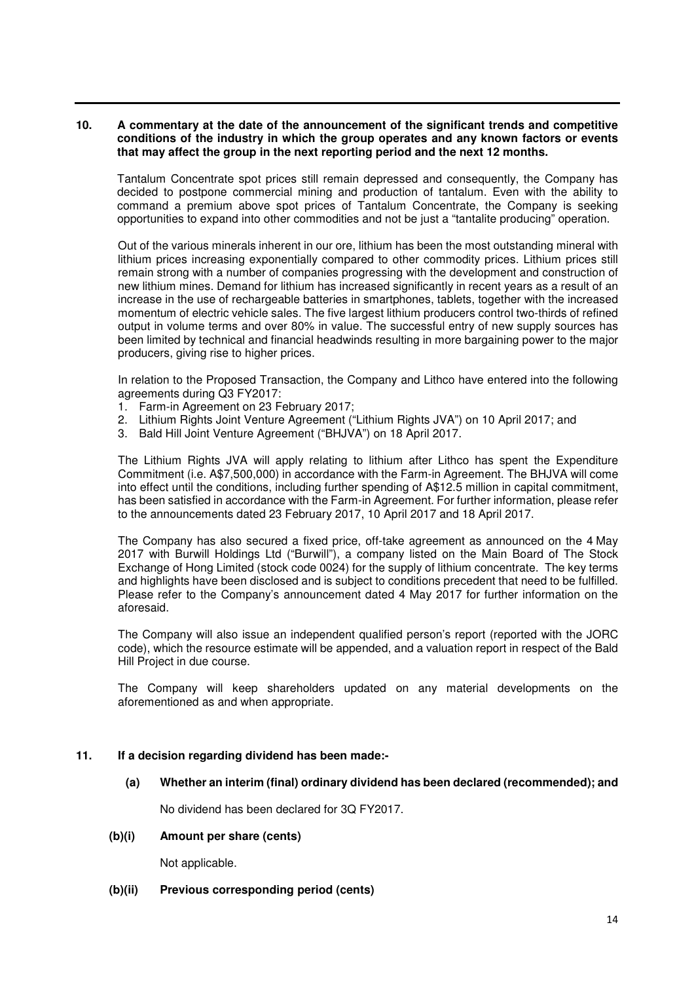### **10. A commentary at the date of the announcement of the significant trends and competitive conditions of the industry in which the group operates and any known factors or events that may affect the group in the next reporting period and the next 12 months.**

Tantalum Concentrate spot prices still remain depressed and consequently, the Company has decided to postpone commercial mining and production of tantalum. Even with the ability to command a premium above spot prices of Tantalum Concentrate, the Company is seeking opportunities to expand into other commodities and not be just a "tantalite producing" operation.

Out of the various minerals inherent in our ore, lithium has been the most outstanding mineral with lithium prices increasing exponentially compared to other commodity prices. Lithium prices still remain strong with a number of companies progressing with the development and construction of new lithium mines. Demand for lithium has increased significantly in recent years as a result of an increase in the use of rechargeable batteries in smartphones, tablets, together with the increased momentum of electric vehicle sales. The five largest lithium producers control two-thirds of refined output in volume terms and over 80% in value. The successful entry of new supply sources has been limited by technical and financial headwinds resulting in more bargaining power to the major producers, giving rise to higher prices.

In relation to the Proposed Transaction, the Company and Lithco have entered into the following agreements during Q3 FY2017:

- 1. Farm-in Agreement on 23 February 2017;
- 2. Lithium Rights Joint Venture Agreement ("Lithium Rights JVA") on 10 April 2017; and
- 3. Bald Hill Joint Venture Agreement ("BHJVA") on 18 April 2017.

The Lithium Rights JVA will apply relating to lithium after Lithco has spent the Expenditure Commitment (i.e. A\$7,500,000) in accordance with the Farm-in Agreement. The BHJVA will come into effect until the conditions, including further spending of A\$12.5 million in capital commitment, has been satisfied in accordance with the Farm-in Agreement. For further information, please refer to the announcements dated 23 February 2017, 10 April 2017 and 18 April 2017.

The Company has also secured a fixed price, off-take agreement as announced on the 4 May 2017 with Burwill Holdings Ltd ("Burwill"), a company listed on the Main Board of The Stock Exchange of Hong Limited (stock code 0024) for the supply of lithium concentrate. The key terms and highlights have been disclosed and is subject to conditions precedent that need to be fulfilled. Please refer to the Company's announcement dated 4 May 2017 for further information on the aforesaid.

The Company will also issue an independent qualified person's report (reported with the JORC code), which the resource estimate will be appended, and a valuation report in respect of the Bald Hill Project in due course.

The Company will keep shareholders updated on any material developments on the aforementioned as and when appropriate.

### **11. If a decision regarding dividend has been made:-**

 **(a) Whether an interim (final) ordinary dividend has been declared (recommended); and**

No dividend has been declared for 3Q FY2017.

**(b)(i) Amount per share (cents)** 

Not applicable.

**(b)(ii) Previous corresponding period (cents)**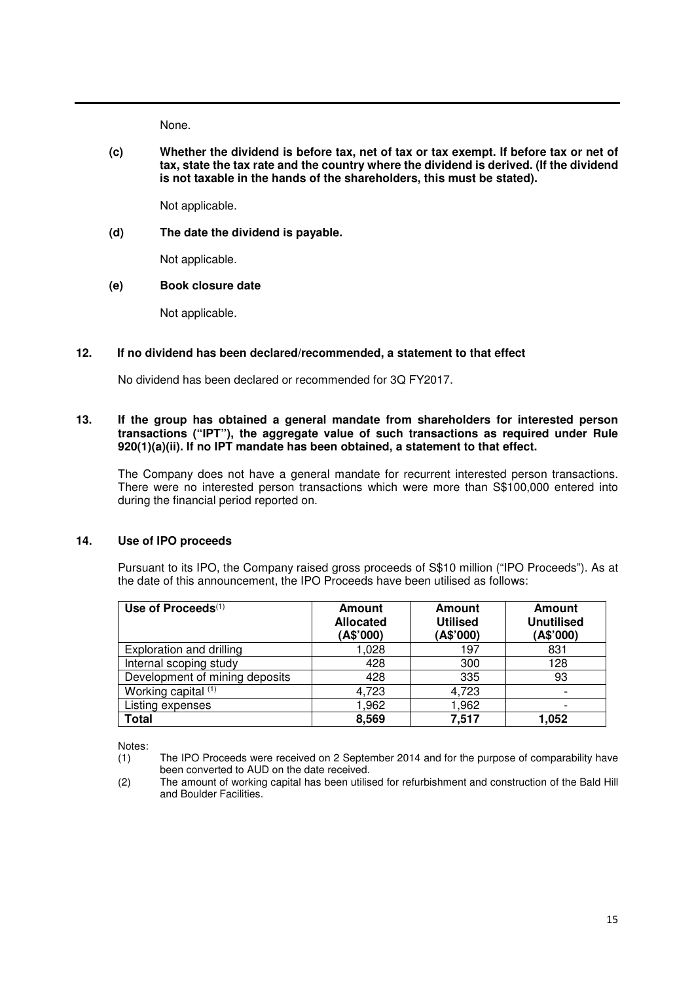None.

**(c) Whether the dividend is before tax, net of tax or tax exempt. If before tax or net of tax, state the tax rate and the country where the dividend is derived. (If the dividend is not taxable in the hands of the shareholders, this must be stated).** 

Not applicable.

**(d) The date the dividend is payable.** 

Not applicable.

**(e) Book closure date** 

Not applicable.

# **12. If no dividend has been declared/recommended, a statement to that effect**

No dividend has been declared or recommended for 3Q FY2017.

# **13. If the group has obtained a general mandate from shareholders for interested person transactions ("IPT"), the aggregate value of such transactions as required under Rule 920(1)(a)(ii). If no IPT mandate has been obtained, a statement to that effect.**

 The Company does not have a general mandate for recurrent interested person transactions. There were no interested person transactions which were more than S\$100,000 entered into during the financial period reported on.

# **14. Use of IPO proceeds**

Pursuant to its IPO, the Company raised gross proceeds of S\$10 million ("IPO Proceeds"). As at the date of this announcement, the IPO Proceeds have been utilised as follows:

| Use of Proceeds(1)             | <b>Amount</b><br><b>Allocated</b><br>(A\$'000) | <b>Amount</b><br><b>Utilised</b><br>(A\$'000) | <b>Amount</b><br><b>Unutilised</b><br>(A\$'000) |
|--------------------------------|------------------------------------------------|-----------------------------------------------|-------------------------------------------------|
| Exploration and drilling       | 1,028                                          | 197                                           | 831                                             |
| Internal scoping study         | 428                                            | 300                                           | 128                                             |
| Development of mining deposits | 428                                            | 335                                           | 93                                              |
| Working capital (1)            | 4,723                                          | 4,723                                         |                                                 |
| Listing expenses               | 1,962                                          | 1,962                                         |                                                 |
| <b>Total</b>                   | 8,569                                          | 7,517                                         | 1.052                                           |

Notes:

<sup>(1)</sup> The IPO Proceeds were received on 2 September 2014 and for the purpose of comparability have been converted to AUD on the date received.

<sup>(2)</sup> The amount of working capital has been utilised for refurbishment and construction of the Bald Hill and Boulder Facilities.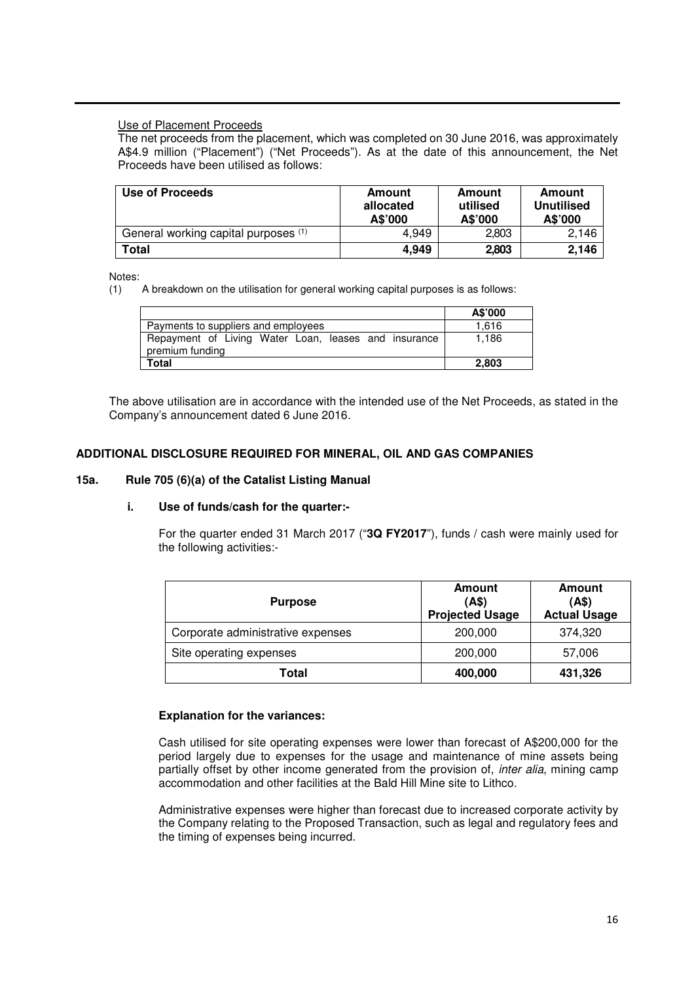# Use of Placement Proceeds

The net proceeds from the placement, which was completed on 30 June 2016, was approximately A\$4.9 million ("Placement") ("Net Proceeds"). As at the date of this announcement, the Net Proceeds have been utilised as follows:

| Use of Proceeds                      | Amount<br>allocated<br>A\$'000 | Amount<br>utilised<br>A\$'000 | Amount<br><b>Unutilised</b><br>A\$'000 |
|--------------------------------------|--------------------------------|-------------------------------|----------------------------------------|
| General working capital purposes (1) | 4.949                          | 2.803                         | 2.146                                  |
| Total                                | 4,949                          | 2,803                         | 2.146                                  |

Notes:

(1) A breakdown on the utilisation for general working capital purposes is as follows:

|                                                                         | A\$'000 |
|-------------------------------------------------------------------------|---------|
| Payments to suppliers and employees                                     | 1.616   |
| Repayment of Living Water Loan, leases and insurance<br>premium funding | 1.186   |
| Total                                                                   | 2.803   |

The above utilisation are in accordance with the intended use of the Net Proceeds, as stated in the Company's announcement dated 6 June 2016.

# **ADDITIONAL DISCLOSURE REQUIRED FOR MINERAL, OIL AND GAS COMPANIES**

### **15a. Rule 705 (6)(a) of the Catalist Listing Manual**

### **i. Use of funds/cash for the quarter:-**

For the quarter ended 31 March 2017 ("**3Q FY2017**"), funds / cash were mainly used for the following activities:-

| <b>Purpose</b>                    | <b>Amount</b><br>(A\$)<br><b>Projected Usage</b> | Amount<br>(AS)<br><b>Actual Usage</b> |
|-----------------------------------|--------------------------------------------------|---------------------------------------|
| Corporate administrative expenses | 200,000                                          | 374,320                               |
| Site operating expenses           | 200,000                                          | 57,006                                |
| Total                             | 400,000                                          | 431,326                               |

# **Explanation for the variances:**

Cash utilised for site operating expenses were lower than forecast of A\$200,000 for the period largely due to expenses for the usage and maintenance of mine assets being partially offset by other income generated from the provision of, *inter alia*, mining camp accommodation and other facilities at the Bald Hill Mine site to Lithco.

Administrative expenses were higher than forecast due to increased corporate activity by the Company relating to the Proposed Transaction, such as legal and regulatory fees and the timing of expenses being incurred.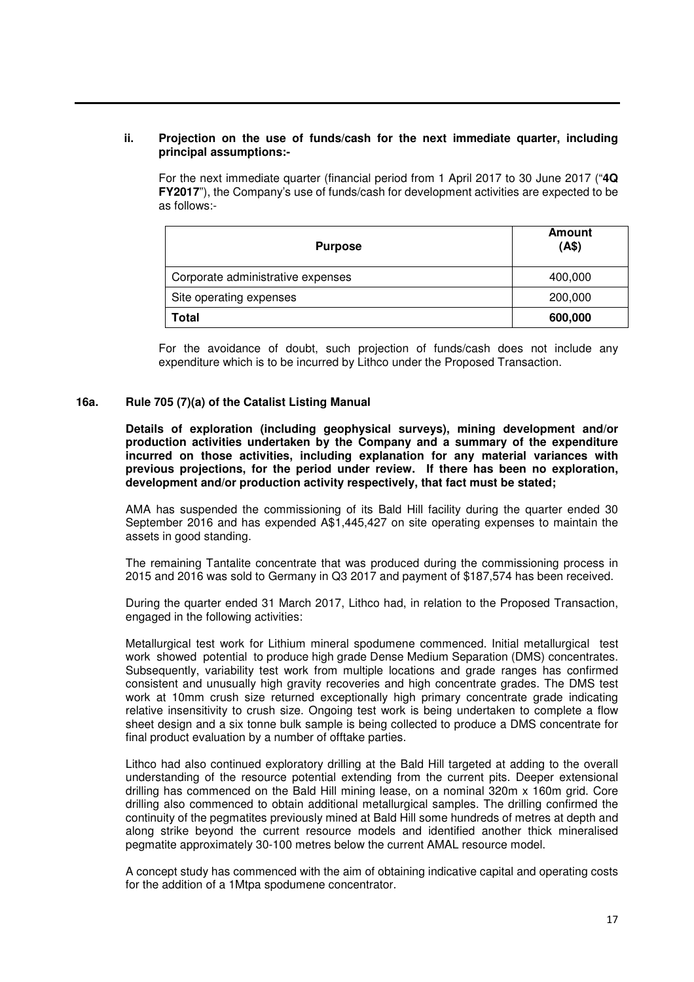### **ii. Projection on the use of funds/cash for the next immediate quarter, including principal assumptions:-**

For the next immediate quarter (financial period from 1 April 2017 to 30 June 2017 ("**4Q FY2017**"), the Company's use of funds/cash for development activities are expected to be as follows:-

| <b>Purpose</b>                    | Amount<br>(AS) |
|-----------------------------------|----------------|
| Corporate administrative expenses | 400,000        |
| Site operating expenses           | 200,000        |
| Total                             | 600,000        |

For the avoidance of doubt, such projection of funds/cash does not include any expenditure which is to be incurred by Lithco under the Proposed Transaction.

### **16a. Rule 705 (7)(a) of the Catalist Listing Manual**

**Details of exploration (including geophysical surveys), mining development and/or production activities undertaken by the Company and a summary of the expenditure incurred on those activities, including explanation for any material variances with previous projections, for the period under review. If there has been no exploration, development and/or production activity respectively, that fact must be stated;** 

AMA has suspended the commissioning of its Bald Hill facility during the quarter ended 30 September 2016 and has expended A\$1,445,427 on site operating expenses to maintain the assets in good standing.

The remaining Tantalite concentrate that was produced during the commissioning process in 2015 and 2016 was sold to Germany in Q3 2017 and payment of \$187,574 has been received.

During the quarter ended 31 March 2017, Lithco had, in relation to the Proposed Transaction, engaged in the following activities:

Metallurgical test work for Lithium mineral spodumene commenced. Initial metallurgical test work showed potential to produce high grade Dense Medium Separation (DMS) concentrates. Subsequently, variability test work from multiple locations and grade ranges has confirmed consistent and unusually high gravity recoveries and high concentrate grades. The DMS test work at 10mm crush size returned exceptionally high primary concentrate grade indicating relative insensitivity to crush size. Ongoing test work is being undertaken to complete a flow sheet design and a six tonne bulk sample is being collected to produce a DMS concentrate for final product evaluation by a number of offtake parties.

Lithco had also continued exploratory drilling at the Bald Hill targeted at adding to the overall understanding of the resource potential extending from the current pits. Deeper extensional drilling has commenced on the Bald Hill mining lease, on a nominal 320m x 160m grid. Core drilling also commenced to obtain additional metallurgical samples. The drilling confirmed the continuity of the pegmatites previously mined at Bald Hill some hundreds of metres at depth and along strike beyond the current resource models and identified another thick mineralised pegmatite approximately 30-100 metres below the current AMAL resource model.

A concept study has commenced with the aim of obtaining indicative capital and operating costs for the addition of a 1Mtpa spodumene concentrator.